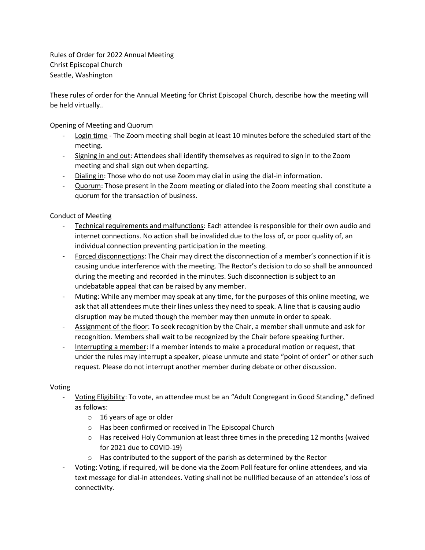Rules of Order for 2022 Annual Meeting Christ Episcopal Church Seattle, Washington

These rules of order for the Annual Meeting for Christ Episcopal Church, describe how the meeting will be held virtually..

Opening of Meeting and Quorum

- Login time The Zoom meeting shall begin at least 10 minutes before the scheduled start of the meeting.
- Signing in and out: Attendees shall identify themselves as required to sign in to the Zoom meeting and shall sign out when departing.
- Dialing in: Those who do not use Zoom may dial in using the dial-in information.
- Quorum: Those present in the Zoom meeting or dialed into the Zoom meeting shall constitute a quorum for the transaction of business.

Conduct of Meeting

- Technical requirements and malfunctions: Each attendee is responsible for their own audio and internet connections. No action shall be invalided due to the loss of, or poor quality of, an individual connection preventing participation in the meeting.
- Forced disconnections: The Chair may direct the disconnection of a member's connection if it is causing undue interference with the meeting. The Rector's decision to do so shall be announced during the meeting and recorded in the minutes. Such disconnection is subject to an undebatable appeal that can be raised by any member.
- Muting: While any member may speak at any time, for the purposes of this online meeting, we ask that all attendees mute their lines unless they need to speak. A line that is causing audio disruption may be muted though the member may then unmute in order to speak.
- Assignment of the floor: To seek recognition by the Chair, a member shall unmute and ask for recognition. Members shall wait to be recognized by the Chair before speaking further.
- Interrupting a member: If a member intends to make a procedural motion or request, that under the rules may interrupt a speaker, please unmute and state "point of order" or other such request. Please do not interrupt another member during debate or other discussion.

## Voting

- Voting Eligibility: To vote, an attendee must be an "Adult Congregant in Good Standing," defined as follows:
	- o 16 years of age or older
	- o Has been confirmed or received in The Episcopal Church
	- $\circ$  Has received Holy Communion at least three times in the preceding 12 months (waived for 2021 due to COVID-19)
	- o Has contributed to the support of the parish as determined by the Rector
- Voting: Voting, if required, will be done via the Zoom Poll feature for online attendees, and via text message for dial-in attendees. Voting shall not be nullified because of an attendee's loss of connectivity.